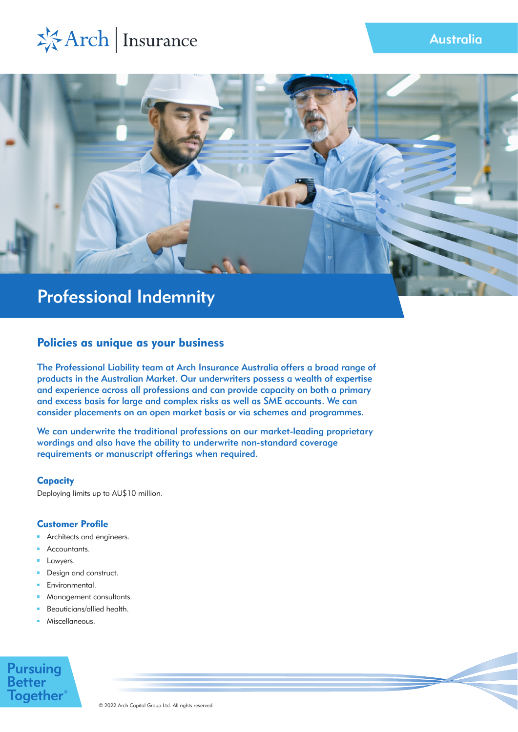



### Policies as unique as your business

The Professional Liability team at Arch Insurance Australia offers a broad range of products in the Australian Market. Our underwriters possess a wealth of expertise and experience across all professions and can provide capacity on both a primary and excess basis for large and complex risks as well as SME accounts. We can consider placements on an open market basis or via schemes and programmes.

We can underwrite the traditional professions on our market-leading proprietary wordings and also have the ability to underwrite non-standard coverage requirements or manuscript offerings when required.

#### **Capacity**

Deploying limits up to AU\$10 million.

#### Customer Profile

- Architects and engineers.
- Accountants.
- Lawyers.
- $\blacksquare$ Design and construct.
- Environmental. m.
- Management consultants. m.
- Beauticians/allied health. m.
- Miscellaneous. m.

## **Pursuing Better Together**